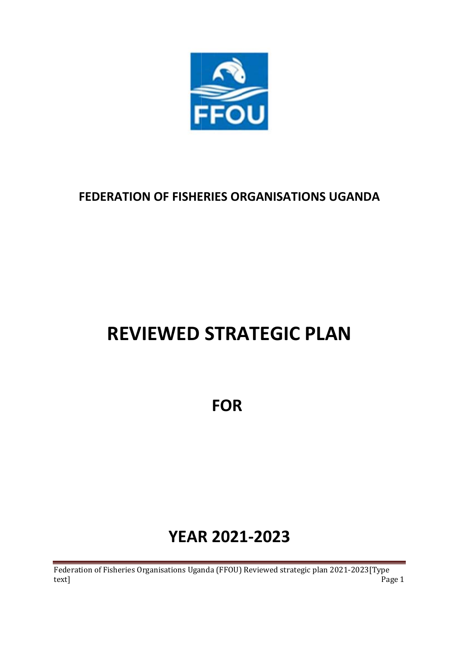

# **FEDERATION OF FISHERIES ORGANISATIONS UGANDA**

# **REVIEWED STRATEGIC PLAN**

**FOR**

# **YEAR R 2021 3R**<br>21-2023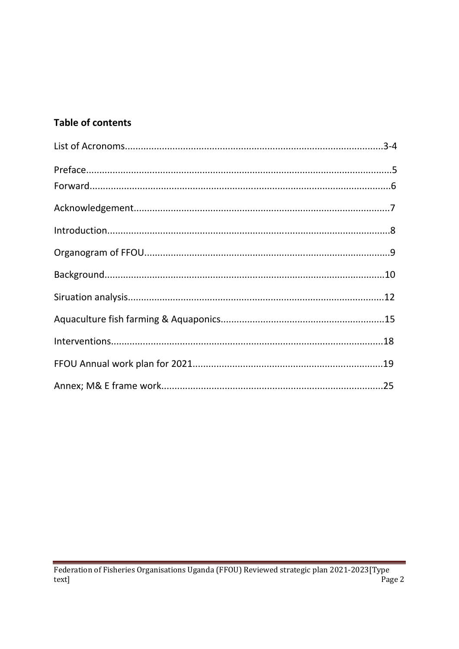# **Table of contents**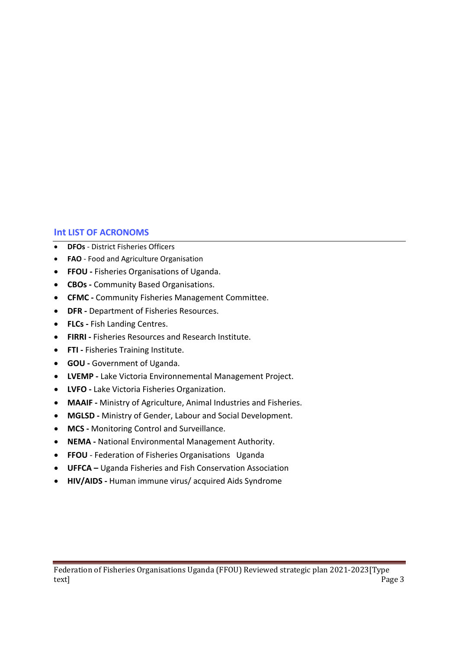# **Int LIST OF ACRONOMS**

- **DFOs** District Fisheries Officers
- **FAO**  Food and Agriculture Organisation
- **FFOU** Fisheries Organisations of Uganda.
- **CBOs -** Community Based Organisations.
- **CFMC -** Community Fisheries Management Committee.
- **DFR -** Department of Fisheries Resources.
- **FLCs -** Fish Landing Centres.
- **FIRRI -** Fisheries Resources and Research Institute.
- **FTI** Fisheries Training Institute.
- **GOU -** Government of Uganda.
- **LVEMP** Lake Victoria Environnemental Management Project.
- **LVFO** Lake Victoria Fisheries Organization.
- **MAAIF -** Ministry of Agriculture, Animal Industries and Fisheries.
- **MGLSD -** Ministry of Gender, Labour and Social Development.
- **MCS -** Monitoring Control and Surveillance.
- **NEMA** National Environmental Management Authority.
- **FFOU** Federation of Fisheries Organisations Uganda
- **UFFCA –** Uganda Fisheries and Fish Conservation Association
- **HIV/AIDS** Human immune virus/ acquired Aids Syndrome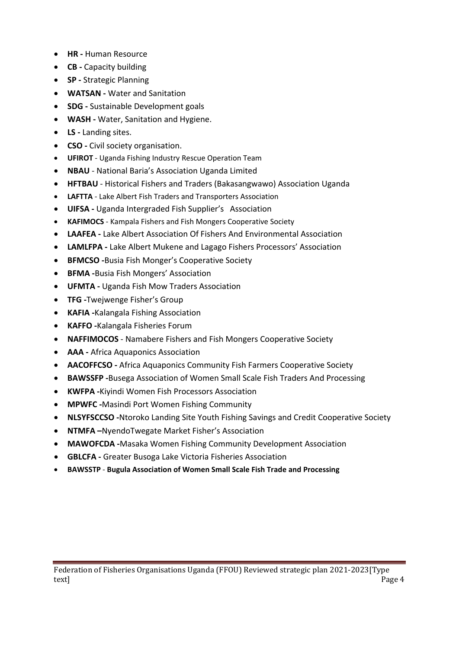- **HR** Human Resource
- **CB -** Capacity building
- **SP -** Strategic Planning
- **WATSAN** Water and Sanitation
- **SDG -** Sustainable Development goals
- **WASH -** Water, Sanitation and Hygiene.
- **LS -** Landing sites.
- **CSO** Civil society organisation.
- **UFIROT** Uganda Fishing Industry Rescue Operation Team
- **NBAU** National Baria's Association Uganda Limited
- **HFTBAU** Historical Fishers and Traders (Bakasangwawo) Association Uganda
- **LAFTTA** Lake Albert Fish Traders and Transporters Association
- **UIFSA -** Uganda Intergraded Fish Supplier's Association
- **KAFIMOCS**  Kampala Fishers and Fish Mongers Cooperative Society
- **LAAFEA -** Lake Albert Association Of Fishers And Environmental Association
- **LAMLFPA -** Lake Albert Mukene and Lagago Fishers Processors' Association
- **BFMCSO -**Busia Fish Monger's Cooperative Society
- **BFMA -**Busia Fish Mongers' Association
- **UFMTA -** Uganda Fish Mow Traders Association
- **TFG -**Twejwenge Fisher's Group
- **KAFIA -**Kalangala Fishing Association
- **KAFFO -**Kalangala Fisheries Forum
- **NAFFIMOCOS** Namabere Fishers and Fish Mongers Cooperative Society
- **AAA -** Africa Aquaponics Association
- **AACOFFCSO -** Africa Aquaponics Community Fish Farmers Cooperative Society
- **BAWSSFP -**Busega Association of Women Small Scale Fish Traders And Processing
- **KWFPA -**Kiyindi Women Fish Processors Association
- **MPWFC -**Masindi Port Women Fishing Community
- **NLSYFSCCSO -**Ntoroko Landing Site Youth Fishing Savings and Credit Cooperative Society
- **NTMFA –**NyendoTwegate Market Fisher's Association
- **MAWOFCDA -**Masaka Women Fishing Community Development Association
- **GBLCFA -** Greater Busoga Lake Victoria Fisheries Association
- **BAWSSTP Bugula Association of Women Small Scale Fish Trade and Processing**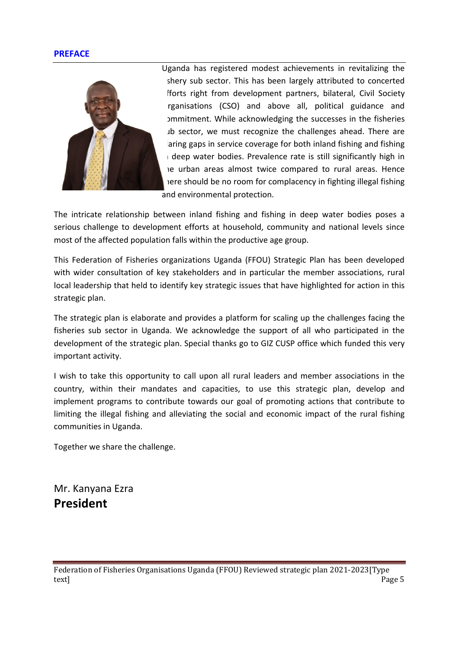### **PREFACE**



Uganda has registered modest achievements in revitalizing the shery sub sector. This has been largely attributed to concerted fforts right from development partners, bilateral, Civil Society rganisations (CSO) and above all, political guidance and pmmitment. While acknowledging the successes in the fisheries ab sector, we must recognize the challenges ahead. There are aring gaps in service coverage for both inland fishing and fishing deep water bodies. Prevalence rate is still significantly high in the urban areas almost twice compared to rural areas. Hence tere should be no room for complacency in fighting illegal fishing and environmental protection.

The intricate relationship between inland fishing and fishing in deep water bodies poses a serious challenge to development efforts at household, community and national levels since most of the affected population falls within the productive age group.

This Federation of Fisheries organizations Uganda (FFOU) Strategic Plan has been developed with wider consultation of key stakeholders and in particular the member associations, rural local leadership that held to identify key strategic issues that have highlighted for action in this strategic plan.

The strategic plan is elaborate and provides a platform for scaling up the challenges facing the fisheries sub sector in Uganda. We acknowledge the support of all who participated in the development of the strategic plan. Special thanks go to GIZ CUSP office which funded this very important activity.

I wish to take this opportunity to call upon all rural leaders and member associations in the country, within their mandates and capacities, to use this strategic plan, develop and implement programs to contribute towards our goal of promoting actions that contribute to limiting the illegal fishing and alleviating the social and economic impact of the rural fishing communities in Uganda.

Together we share the challenge.

Mr. Kanyana Ezra **President**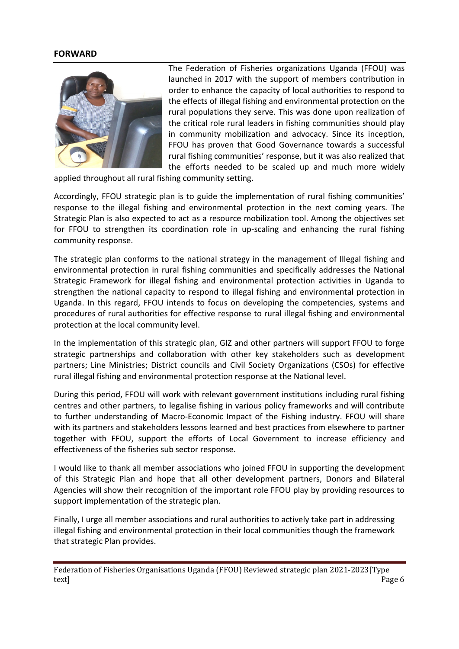### **FORWARD**



The Federation of Fisheries organizations Uganda (FFOU) was launched in 2017 with the support of members contribution in order to enhance the capacity of local authorities to respond to the effects of illegal fishing and environmental protection on the rural populations they serve. This was done upon realization of the critical role rural leaders in fishing communities should play in community mobilization and advocacy. Since its inception, FFOU has proven that Good Governance towards a successful rural fishing communities' response, but it was also realized that the efforts needed to be scaled up and much more widely

applied throughout all rural fishing community setting.

Accordingly, FFOU strategic plan is to guide the implementation of rural fishing communities' response to the illegal fishing and environmental protection in the next coming years. The Strategic Plan is also expected to act as a resource mobilization tool. Among the objectives set for FFOU to strengthen its coordination role in up-scaling and enhancing the rural fishing community response.

The strategic plan conforms to the national strategy in the management of Illegal fishing and environmental protection in rural fishing communities and specifically addresses the National Strategic Framework for illegal fishing and environmental protection activities in Uganda to strengthen the national capacity to respond to illegal fishing and environmental protection in Uganda. In this regard, FFOU intends to focus on developing the competencies, systems and procedures of rural authorities for effective response to rural illegal fishing and environmental protection at the local community level.

In the implementation of this strategic plan, GIZ and other partners will support FFOU to forge strategic partnerships and collaboration with other key stakeholders such as development partners; Line Ministries; District councils and Civil Society Organizations (CSOs) for effective rural illegal fishing and environmental protection response at the National level.

During this period, FFOU will work with relevant government institutions including rural fishing centres and other partners, to legalise fishing in various policy frameworks and will contribute to further understanding of Macro-Economic Impact of the Fishing industry. FFOU will share with its partners and stakeholders lessons learned and best practices from elsewhere to partner together with FFOU, support the efforts of Local Government to increase efficiency and effectiveness of the fisheries sub sector response.

I would like to thank all member associations who joined FFOU in supporting the development of this Strategic Plan and hope that all other development partners, Donors and Bilateral Agencies will show their recognition of the important role FFOU play by providing resources to support implementation of the strategic plan.

Finally, I urge all member associations and rural authorities to actively take part in addressing illegal fishing and environmental protection in their local communities though the framework that strategic Plan provides.

Federation of Fisheries Organisations Uganda (FFOU) Reviewed strategic plan 2021-2023[Type text] Page 6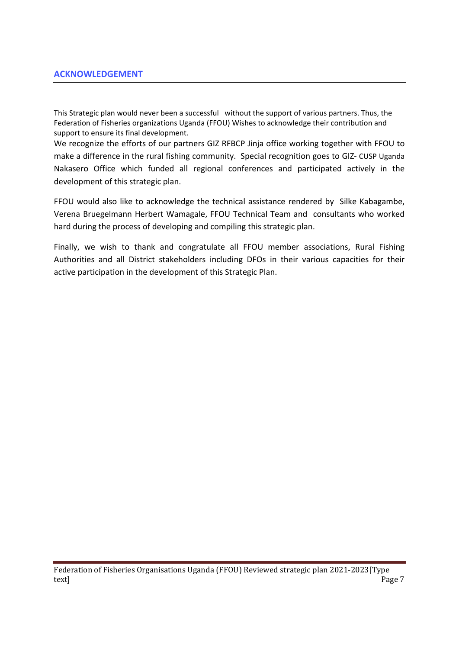This Strategic plan would never been a successful without the support of various partners. Thus, the Federation of Fisheries organizations Uganda (FFOU) Wishes to acknowledge their contribution and support to ensure its final development.

We recognize the efforts of our partners GIZ RFBCP Jinja office working together with FFOU to make a difference in the rural fishing community. Special recognition goes to GIZ- CUSP Uganda Nakasero Office which funded all regional conferences and participated actively in the development of this strategic plan.

FFOU would also like to acknowledge the technical assistance rendered by Silke Kabagambe, Verena Bruegelmann Herbert Wamagale, FFOU Technical Team and consultants who worked hard during the process of developing and compiling this strategic plan.

Finally, we wish to thank and congratulate all FFOU member associations, Rural Fishing Authorities and all District stakeholders including DFOs in their various capacities for their active participation in the development of this Strategic Plan.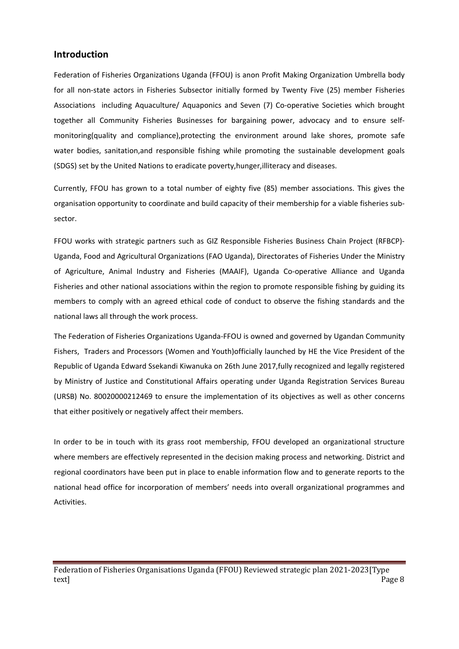### **Introduction**

Federation of Fisheries Organizations Uganda (FFOU) is anon Profit Making Organization Umbrella body for all non-state actors in Fisheries Subsector initially formed by Twenty Five (25) member Fisheries Associations including Aquaculture/ Aquaponics and Seven (7) Co-operative Societies which brought together all Community Fisheries Businesses for bargaining power, advocacy and to ensure selfmonitoring(quality and compliance),protecting the environment around lake shores, promote safe water bodies, sanitation,and responsible fishing while promoting the sustainable development goals (SDGS) set by the United Nations to eradicate poverty,hunger,illiteracy and diseases.

Currently, FFOU has grown to a total number of eighty five (85) member associations. This gives the organisation opportunity to coordinate and build capacity of their membership for a viable fisheries subsector.

FFOU works with strategic partners such as GIZ Responsible Fisheries Business Chain Project (RFBCP)- Uganda, Food and Agricultural Organizations (FAO Uganda), Directorates of Fisheries Under the Ministry of Agriculture, Animal Industry and Fisheries (MAAIF), Uganda Co-operative Alliance and Uganda Fisheries and other national associations within the region to promote responsible fishing by guiding its members to comply with an agreed ethical code of conduct to observe the fishing standards and the national laws all through the work process.

The Federation of Fisheries Organizations Uganda-FFOU is owned and governed by Ugandan Community Fishers, Traders and Processors (Women and Youth)officially launched by HE the Vice President of the Republic of Uganda Edward Ssekandi Kiwanuka on 26th June 2017,fully recognized and legally registered by Ministry of Justice and Constitutional Affairs operating under Uganda Registration Services Bureau (URSB) No. 80020000212469 to ensure the implementation of its objectives as well as other concerns that either positively or negatively affect their members.

In order to be in touch with its grass root membership, FFOU developed an organizational structure where members are effectively represented in the decision making process and networking. District and regional coordinators have been put in place to enable information flow and to generate reports to the national head office for incorporation of members' needs into overall organizational programmes and Activities.

Federation of Fisheries Organisations Uganda (FFOU) Reviewed strategic plan 2021-2023[Type text] Page 8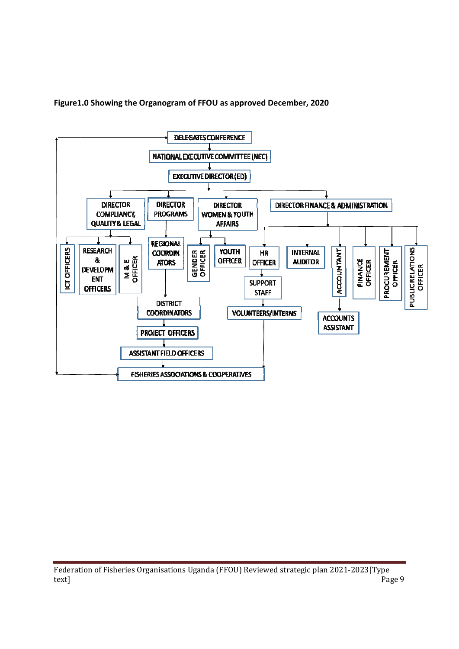Figure1.0 Showing the Organogram of FFOU as approved December, 2020



Federation of Fisheries Organisations Uganda (FFOU) Reviewed strategic plan 2021-2023[Type text] Page 9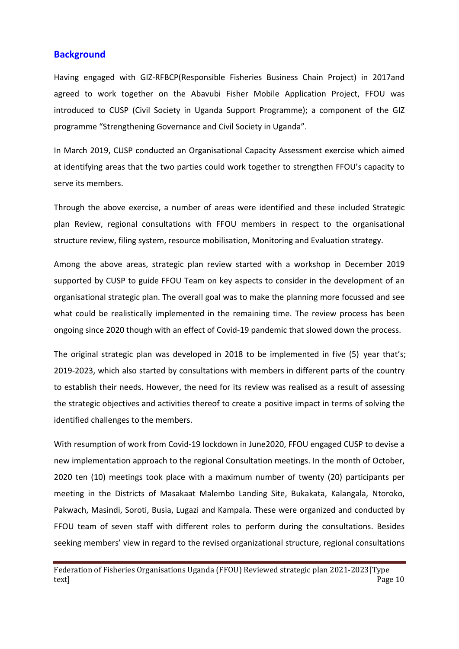### **Background**

Having engaged with GIZ-RFBCP(Responsible Fisheries Business Chain Project) in 2017and agreed to work together on the Abavubi Fisher Mobile Application Project, FFOU was introduced to CUSP (Civil Society in Uganda Support Programme); a component of the GIZ programme "Strengthening Governance and Civil Society in Uganda".

In March 2019, CUSP conducted an Organisational Capacity Assessment exercise which aimed at identifying areas that the two parties could work together to strengthen FFOU's capacity to serve its members.

Through the above exercise, a number of areas were identified and these included Strategic plan Review, regional consultations with FFOU members in respect to the organisational structure review, filing system, resource mobilisation, Monitoring and Evaluation strategy.

Among the above areas, strategic plan review started with a workshop in December 2019 supported by CUSP to guide FFOU Team on key aspects to consider in the development of an organisational strategic plan. The overall goal was to make the planning more focussed and see what could be realistically implemented in the remaining time. The review process has been ongoing since 2020 though with an effect of Covid-19 pandemic that slowed down the process.

The original strategic plan was developed in 2018 to be implemented in five (5) year that's; 2019-2023, which also started by consultations with members in different parts of the country to establish their needs. However, the need for its review was realised as a result of assessing the strategic objectives and activities thereof to create a positive impact in terms of solving the identified challenges to the members.

With resumption of work from Covid-19 lockdown in June2020, FFOU engaged CUSP to devise a new implementation approach to the regional Consultation meetings. In the month of October, 2020 ten (10) meetings took place with a maximum number of twenty (20) participants per meeting in the Districts of Masakaat Malembo Landing Site, Bukakata, Kalangala, Ntoroko, Pakwach, Masindi, Soroti, Busia, Lugazi and Kampala. These were organized and conducted by FFOU team of seven staff with different roles to perform during the consultations. Besides seeking members' view in regard to the revised organizational structure, regional consultations

Federation of Fisheries Organisations Uganda (FFOU) Reviewed strategic plan 2021-2023[Type text] Page 10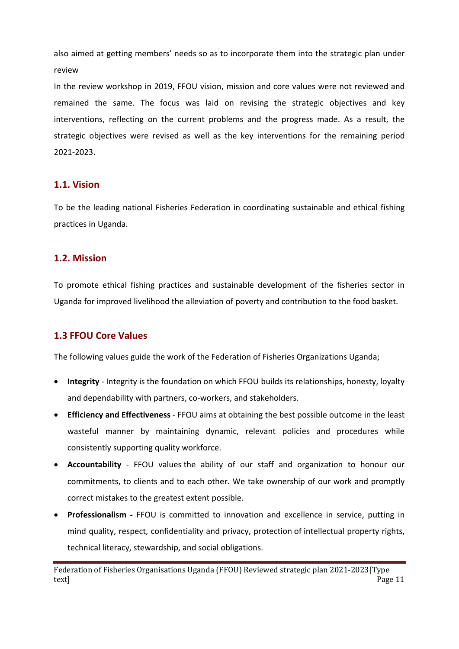also aimed at getting members' needs so as to incorporate them into the strategic plan under review

In the review workshop in 2019, FFOU vision, mission and core values were not reviewed and remained the same. The focus was laid on revising the strategic objectives and key interventions, reflecting on the current problems and the progress made. As a result, the strategic objectives were revised as well as the key interventions for the remaining period 2021-2023.

# **1.1. Vision**

To be the leading national Fisheries Federation in coordinating sustainable and ethical fishing practices in Uganda.

# **1.2. Mission**

To promote ethical fishing practices and sustainable development of the fisheries sector in Uganda for improved livelihood the alleviation of poverty and contribution to the food basket.

# **1.3 FFOU Core Values**

The following values guide the work of the Federation of Fisheries Organizations Uganda;

- **Integrity** Integrity is the foundation on which FFOU builds its relationships, honesty, loyalty and dependability with partners, co-workers, and stakeholders.
- **Efficiency and Effectiveness** FFOU aims at obtaining the best possible outcome in the least wasteful manner by maintaining dynamic, relevant policies and procedures while consistently supporting quality workforce.
- **Accountability** FFOU values the ability of our staff and organization to honour our commitments, to clients and to each other. We take ownership of our work and promptly correct mistakes to the greatest extent possible.
- **Professionalism** FFOU is committed to innovation and excellence in service, putting in mind quality, respect, confidentiality and privacy, protection of intellectual property rights, technical literacy, stewardship, and social obligations.

Federation of Fisheries Organisations Uganda (FFOU) Reviewed strategic plan 2021-2023[Type text] Page 11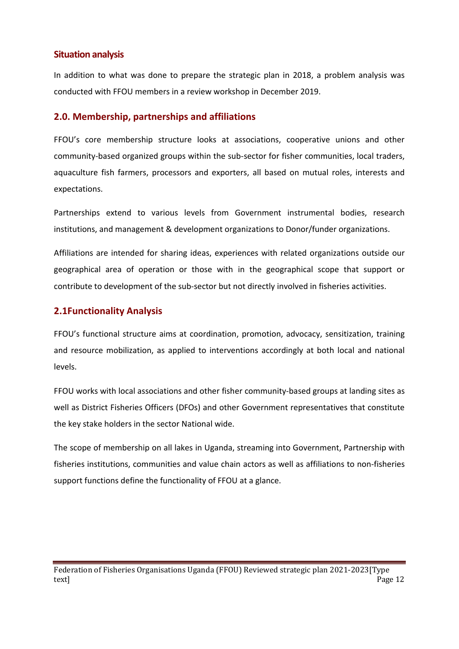# **Situation analysis**

In addition to what was done to prepare the strategic plan in 2018, a problem analysis was conducted with FFOU members in a review workshop in December 2019.

# **2.0. Membership, partnerships and affiliations**

FFOU's core membership structure looks at associations, cooperative unions and other community-based organized groups within the sub-sector for fisher communities, local traders, aquaculture fish farmers, processors and exporters, all based on mutual roles, interests and expectations.

Partnerships extend to various levels from Government instrumental bodies, research institutions, and management & development organizations to Donor/funder organizations.

Affiliations are intended for sharing ideas, experiences with related organizations outside our geographical area of operation or those with in the geographical scope that support or contribute to development of the sub-sector but not directly involved in fisheries activities.

# **2.1Functionality Analysis**

FFOU's functional structure aims at coordination, promotion, advocacy, sensitization, training and resource mobilization, as applied to interventions accordingly at both local and national levels.

FFOU works with local associations and other fisher community-based groups at landing sites as well as District Fisheries Officers (DFOs) and other Government representatives that constitute the key stake holders in the sector National wide.

The scope of membership on all lakes in Uganda, streaming into Government, Partnership with fisheries institutions, communities and value chain actors as well as affiliations to non-fisheries support functions define the functionality of FFOU at a glance.

Federation of Fisheries Organisations Uganda (FFOU) Reviewed strategic plan 2021-2023[Type text] Page 12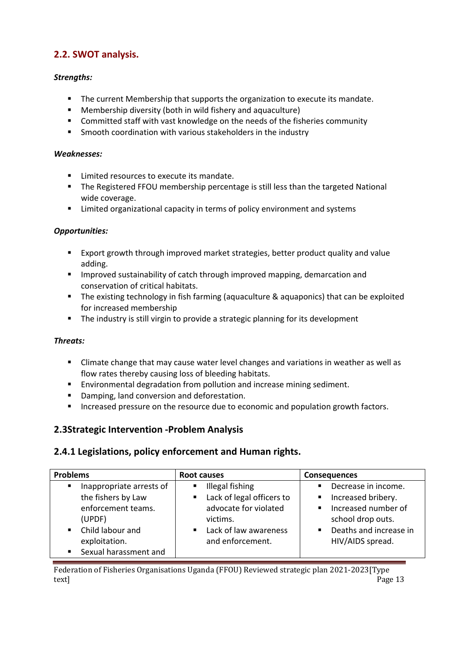# **2.2. SWOT analysis.**

### *Strengths:*

- The current Membership that supports the organization to execute its mandate.
- Membership diversity (both in wild fishery and aquaculture)
- Committed staff with vast knowledge on the needs of the fisheries community
- **EXECT** Smooth coordination with various stakeholders in the industry

### *Weaknesses:*

- Limited resources to execute its mandate.
- **The Registered FFOU membership percentage is still less than the targeted National** wide coverage.
- Limited organizational capacity in terms of policy environment and systems

### *Opportunities:*

- Export growth through improved market strategies, better product quality and value adding.
- Improved sustainability of catch through improved mapping, demarcation and conservation of critical habitats.
- **The existing technology in fish farming (aquaculture & aquaponics) that can be exploited** for increased membership
- **The industry is still virgin to provide a strategic planning for its development**

### *Threats:*

- Climate change that may cause water level changes and variations in weather as well as flow rates thereby causing loss of bleeding habitats.
- **Environmental degradation from pollution and increase mining sediment.**
- Damping, land conversion and deforestation.
- Increased pressure on the resource due to economic and population growth factors.

# **2.3Strategic Intervention -Problem Analysis**

# **2.4.1 Legislations, policy enforcement and Human rights.**

| <b>Problems</b>                                                                                  | Root causes                                                                                           | <b>Consequences</b>                                                                                                            |  |  |  |
|--------------------------------------------------------------------------------------------------|-------------------------------------------------------------------------------------------------------|--------------------------------------------------------------------------------------------------------------------------------|--|--|--|
| Inappropriate arrests of<br>$\blacksquare$<br>the fishers by Law<br>enforcement teams.<br>(UPDF) | Illegal fishing<br>$\blacksquare$<br>■ Lack of legal officers to<br>advocate for violated<br>victims. | Decrease in income.<br>$\blacksquare$<br>Increased bribery.<br>Ξ<br>Increased number of<br>$\blacksquare$<br>school drop outs. |  |  |  |
| Child labour and<br>$\blacksquare$ .<br>exploitation.<br>Sexual harassment and<br>$\blacksquare$ | ■ Lack of law awareness<br>and enforcement.                                                           | Deaths and increase in<br>$\blacksquare$<br>HIV/AIDS spread.                                                                   |  |  |  |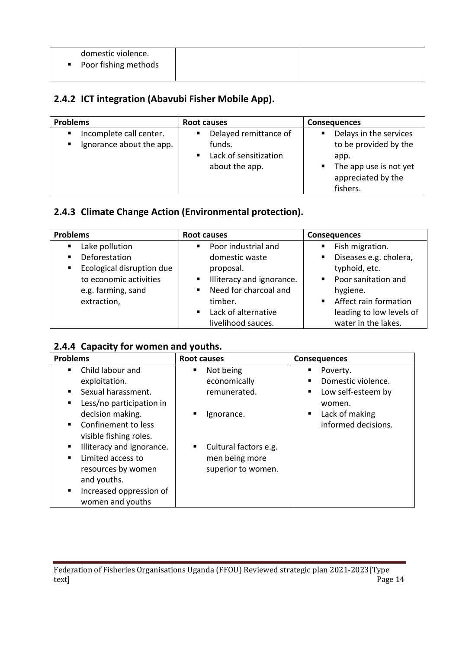| domestic violence.<br>• Poor fishing methods |  |
|----------------------------------------------|--|
|                                              |  |

# **2.4.2 ICT integration (Abavubi Fisher Mobile App).**

| <b>Problems</b>                                                       | Root causes                                                                                  | <b>Consequences</b>                                                                                                           |  |  |
|-----------------------------------------------------------------------|----------------------------------------------------------------------------------------------|-------------------------------------------------------------------------------------------------------------------------------|--|--|
| Incomplete call center.<br>$\blacksquare$<br>Ignorance about the app. | Delayed remittance of<br>funds.<br>Lack of sensitization<br>$\blacksquare$<br>about the app. | Delays in the services<br>٠<br>to be provided by the<br>app.<br>The app use is not yet<br>٠<br>appreciated by the<br>fishers. |  |  |

# **2.4.3 Climate Change Action (Environmental protection).**

| <b>Problems</b>                             | Root causes                             | <b>Consequences</b>                     |  |  |
|---------------------------------------------|-----------------------------------------|-----------------------------------------|--|--|
| Lake pollution<br>$\blacksquare$            | Poor industrial and<br>$\blacksquare$   | Fish migration.                         |  |  |
| Deforestation<br>$\blacksquare$             | domestic waste                          | Diseases e.g. cholera,                  |  |  |
| Ecological disruption due<br>$\blacksquare$ | proposal.                               | typhoid, etc.                           |  |  |
| to economic activities                      | Illiteracy and ignorance.               | Poor sanitation and                     |  |  |
| e.g. farming, sand                          | Need for charcoal and<br>$\blacksquare$ | hygiene.                                |  |  |
| extraction,                                 | timber.                                 | Affect rain formation<br>$\blacksquare$ |  |  |
|                                             | ■ Lack of alternative                   | leading to low levels of                |  |  |
|                                             | livelihood sauces.                      | water in the lakes.                     |  |  |

# **2.4.4 Capacity for women and youths.**

| <b>Problems</b>                       | <b>Root causes</b>         | <b>Consequences</b>              |  |  |  |  |
|---------------------------------------|----------------------------|----------------------------------|--|--|--|--|
| Child labour and<br>٠                 | Not being<br>٠             | Poverty.<br>٠                    |  |  |  |  |
| exploitation.                         | economically               | Domestic violence.<br>п.         |  |  |  |  |
| Sexual harassment.<br>п               | remunerated.               | Low self-esteem by<br>٠          |  |  |  |  |
| Less/no participation in<br>п         |                            | women.                           |  |  |  |  |
| decision making.                      | п<br>Ignorance.            | Lack of making<br>$\blacksquare$ |  |  |  |  |
| Confinement to less<br>$\blacksquare$ |                            | informed decisions.              |  |  |  |  |
| visible fishing roles.                |                            |                                  |  |  |  |  |
| Illiteracy and ignorance.<br>п        | Cultural factors e.g.<br>٠ |                                  |  |  |  |  |
| Limited access to<br>п                | men being more             |                                  |  |  |  |  |
| resources by women                    | superior to women.         |                                  |  |  |  |  |
| and youths.                           |                            |                                  |  |  |  |  |
| Increased oppression of<br>٠          |                            |                                  |  |  |  |  |
| women and youths                      |                            |                                  |  |  |  |  |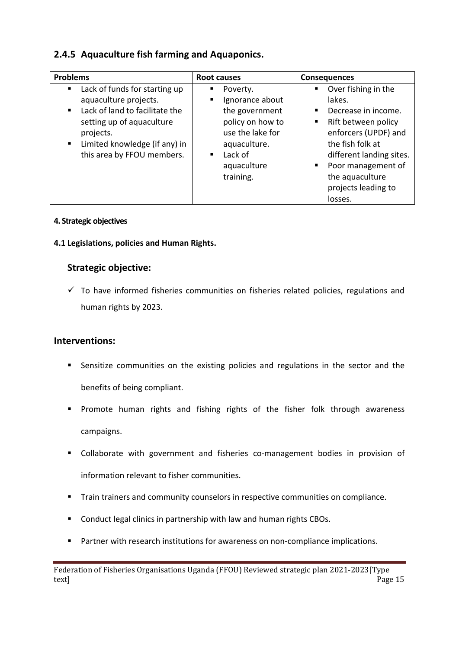# **2.4.5 Aquaculture fish farming and Aquaponics.**

| <b>Problems</b>                                                                                                                                                                                                                            | Root causes                                                                                                                                            | <b>Consequences</b>                                                                                                                                                                                                                                |  |  |  |
|--------------------------------------------------------------------------------------------------------------------------------------------------------------------------------------------------------------------------------------------|--------------------------------------------------------------------------------------------------------------------------------------------------------|----------------------------------------------------------------------------------------------------------------------------------------------------------------------------------------------------------------------------------------------------|--|--|--|
| Lack of funds for starting up<br>п<br>aquaculture projects.<br>Lack of land to facilitate the<br>$\blacksquare$<br>setting up of aquaculture<br>projects.<br>Limited knowledge (if any) in<br>$\blacksquare$<br>this area by FFOU members. | Poverty.<br>٠<br>Ignorance about<br>the government<br>policy on how to<br>use the lake for<br>aquaculture.<br>Lack of<br>٠<br>aquaculture<br>training. | Over fishing in the<br>٠<br>lakes.<br>Decrease in income.<br>٠<br>Rift between policy<br>٠<br>enforcers (UPDF) and<br>the fish folk at<br>different landing sites.<br>Poor management of<br>٠<br>the aquaculture<br>projects leading to<br>losses. |  |  |  |

### **4. Strategic objectives**

# **4.1 Legislations, policies and Human Rights.**

# **Strategic objective:**

 $\checkmark$  To have informed fisheries communities on fisheries related policies, regulations and human rights by 2023.

# **Interventions:**

- Sensitize communities on the existing policies and regulations in the sector and the benefits of being compliant.
- **Promote human rights and fishing rights of the fisher folk through awareness** campaigns.
- Collaborate with government and fisheries co-management bodies in provision of information relevant to fisher communities.
- **Train trainers and community counselors in respective communities on compliance.**
- **Conduct legal clinics in partnership with law and human rights CBOs.**
- **Partner with research institutions for awareness on non-compliance implications.**

Federation of Fisheries Organisations Uganda (FFOU) Reviewed strategic plan 2021-2023[Type text] Page 15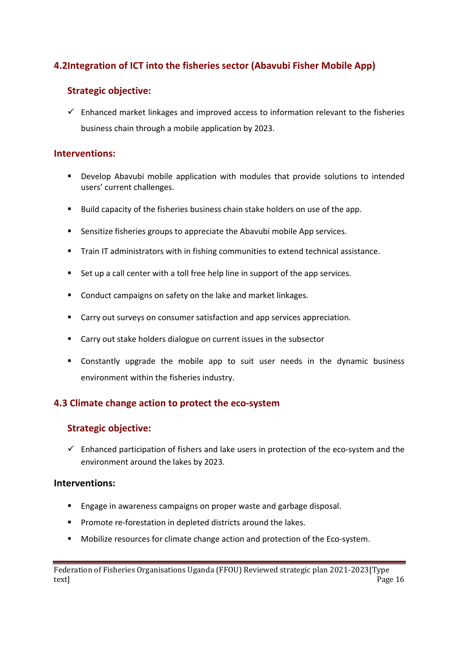# **4.2Integration of ICT into the fisheries sector (Abavubi Fisher Mobile App)**

# **Strategic objective:**

 $\checkmark$  Enhanced market linkages and improved access to information relevant to the fisheries business chain through a mobile application by 2023.

# **Interventions:**

- Develop Abavubi mobile application with modules that provide solutions to intended users' current challenges.
- Build capacity of the fisheries business chain stake holders on use of the app.
- Sensitize fisheries groups to appreciate the Abavubi mobile App services.
- **Train IT administrators with in fishing communities to extend technical assistance.**
- Set up a call center with a toll free help line in support of the app services.
- **E** Conduct campaigns on safety on the lake and market linkages.
- **EXTERCITED Carry out surveys on consumer satisfaction and app services appreciation.**
- Carry out stake holders dialogue on current issues in the subsector
- Constantly upgrade the mobile app to suit user needs in the dynamic business environment within the fisheries industry.

# **4.3 Climate change action to protect the eco-system**

# **Strategic objective:**

 $\checkmark$  Enhanced participation of fishers and lake users in protection of the eco-system and the environment around the lakes by 2023.

# **Interventions:**

- **Engage in awareness campaigns on proper waste and garbage disposal.**
- **Promote re-forestation in depleted districts around the lakes.**
- **Mobilize resources for climate change action and protection of the Eco-system.**

Federation of Fisheries Organisations Uganda (FFOU) Reviewed strategic plan 2021-2023[Type text] Page 16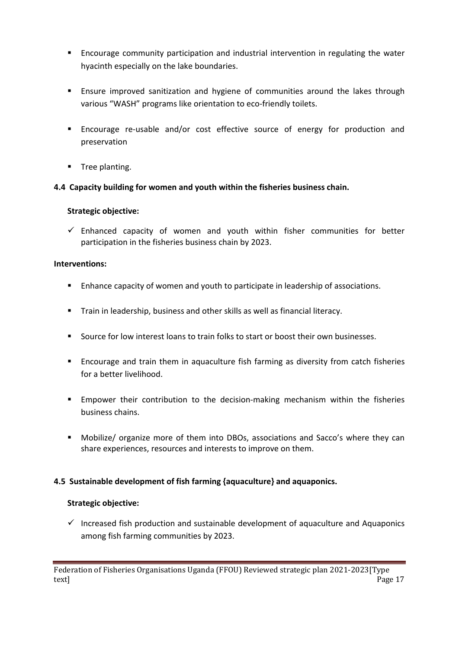- Encourage community participation and industrial intervention in regulating the water hyacinth especially on the lake boundaries.
- **Ensure improved sanitization and hygiene of communities around the lakes through** various "WASH" programs like orientation to eco-friendly toilets.
- Encourage re-usable and/or cost effective source of energy for production and preservation
- **Tree planting.**

# **4.4 Capacity building for women and youth within the fisheries business chain.**

### **Strategic objective:**

 $\checkmark$  Enhanced capacity of women and youth within fisher communities for better participation in the fisheries business chain by 2023.

### **Interventions:**

- **Enhance capacity of women and youth to participate in leadership of associations.**
- **Train in leadership, business and other skills as well as financial literacy.**
- Source for low interest loans to train folks to start or boost their own businesses.
- **Encourage and train them in aquaculture fish farming as diversity from catch fisheries** for a better livelihood.
- Empower their contribution to the decision-making mechanism within the fisheries business chains.
- Mobilize/ organize more of them into DBOs, associations and Sacco's where they can share experiences, resources and interests to improve on them.

# **4.5 Sustainable development of fish farming {aquaculture} and aquaponics.**

### **Strategic objective:**

 $\checkmark$  Increased fish production and sustainable development of aquaculture and Aquaponics among fish farming communities by 2023.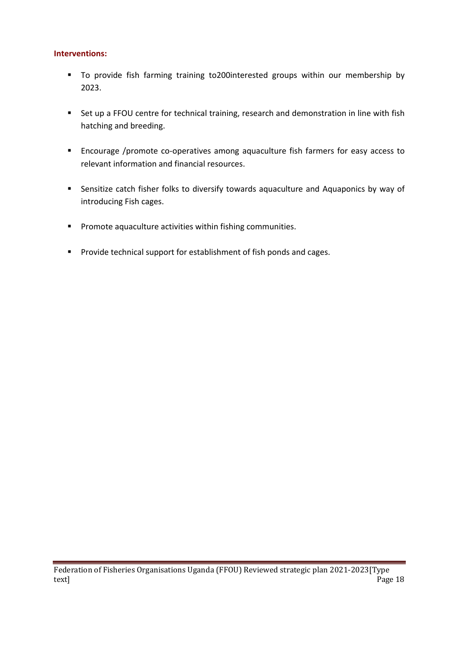### **Interventions:**

- To provide fish farming training to200interested groups within our membership by 2023.
- Set up a FFOU centre for technical training, research and demonstration in line with fish hatching and breeding.
- Encourage /promote co-operatives among aquaculture fish farmers for easy access to relevant information and financial resources.
- **EXECTS Sensitize catch fisher folks to diversify towards aquaculture and Aquaponics by way of** introducing Fish cages.
- **Promote aquaculture activities within fishing communities.**
- **Provide technical support for establishment of fish ponds and cages.**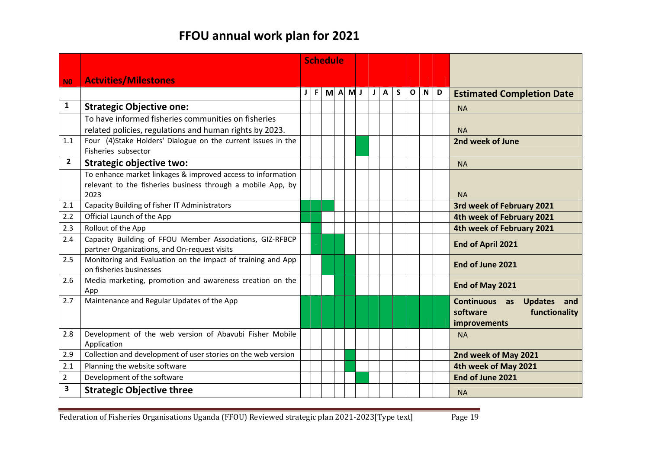# **FFOU annual work plan for 2021**

|                         |                                                                                                                                    | <b>Schedule</b> |    |   |  |       |          |   |   |   |              |   |                                                                                     |  |  |
|-------------------------|------------------------------------------------------------------------------------------------------------------------------------|-----------------|----|---|--|-------|----------|---|---|---|--------------|---|-------------------------------------------------------------------------------------|--|--|
| <b>NO</b>               | <b>Actvities/Milestones</b>                                                                                                        |                 |    |   |  |       |          |   |   |   |              |   |                                                                                     |  |  |
|                         |                                                                                                                                    |                 | F. | M |  | A M J | $J \mid$ | A | S | O | $\mathsf{N}$ | D | <b>Estimated Completion Date</b>                                                    |  |  |
| 1                       | <b>Strategic Objective one:</b>                                                                                                    |                 |    |   |  |       |          |   |   |   |              |   | <b>NA</b>                                                                           |  |  |
|                         | To have informed fisheries communities on fisheries<br>related policies, regulations and human rights by 2023.                     |                 |    |   |  |       |          |   |   |   |              |   | <b>NA</b>                                                                           |  |  |
| 1.1                     | Four (4)Stake Holders' Dialogue on the current issues in the<br>Fisheries subsector                                                |                 |    |   |  |       |          |   |   |   |              |   | 2nd week of June                                                                    |  |  |
| $\overline{2}$          | <b>Strategic objective two:</b>                                                                                                    |                 |    |   |  |       |          |   |   |   |              |   | <b>NA</b>                                                                           |  |  |
|                         | To enhance market linkages & improved access to information<br>relevant to the fisheries business through a mobile App, by<br>2023 |                 |    |   |  |       |          |   |   |   |              |   | <b>NA</b>                                                                           |  |  |
| 2.1                     | Capacity Building of fisher IT Administrators                                                                                      |                 |    |   |  |       |          |   |   |   |              |   | 3rd week of February 2021                                                           |  |  |
| 2.2                     | Official Launch of the App                                                                                                         |                 |    |   |  |       |          |   |   |   |              |   | 4th week of February 2021                                                           |  |  |
| 2.3                     | Rollout of the App                                                                                                                 |                 |    |   |  |       |          |   |   |   |              |   | 4th week of February 2021                                                           |  |  |
| 2.4                     | Capacity Building of FFOU Member Associations, GIZ-RFBCP<br>partner Organizations, and On-request visits                           |                 |    |   |  |       |          |   |   |   |              |   | End of April 2021                                                                   |  |  |
| 2.5                     | Monitoring and Evaluation on the impact of training and App<br>on fisheries businesses                                             |                 |    |   |  |       |          |   |   |   |              |   | End of June 2021                                                                    |  |  |
| 2.6                     | Media marketing, promotion and awareness creation on the<br>App                                                                    |                 |    |   |  |       |          |   |   |   |              |   | End of May 2021                                                                     |  |  |
| 2.7                     | Maintenance and Regular Updates of the App                                                                                         |                 |    |   |  |       |          |   |   |   |              |   | Continuous as<br><b>Updates</b><br>and<br>software<br>functionality<br>improvements |  |  |
| 2.8                     | Development of the web version of Abavubi Fisher Mobile<br>Application                                                             |                 |    |   |  |       |          |   |   |   |              |   | <b>NA</b>                                                                           |  |  |
| 2.9                     | Collection and development of user stories on the web version                                                                      |                 |    |   |  |       |          |   |   |   |              |   | 2nd week of May 2021                                                                |  |  |
| 2.1                     | Planning the website software                                                                                                      |                 |    |   |  |       |          |   |   |   |              |   | 4th week of May 2021                                                                |  |  |
| $\overline{2}$          | Development of the software                                                                                                        |                 |    |   |  |       |          |   |   |   |              |   | End of June 2021                                                                    |  |  |
| $\overline{\mathbf{3}}$ | <b>Strategic Objective three</b>                                                                                                   |                 |    |   |  |       |          |   |   |   |              |   | <b>NA</b>                                                                           |  |  |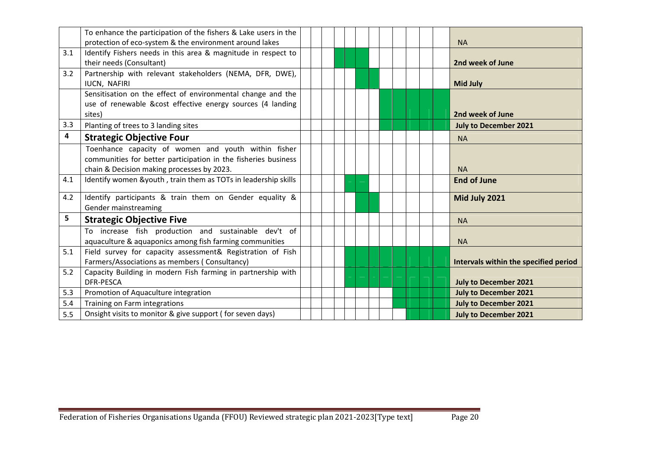|     | To enhance the participation of the fishers & Lake users in the |  |  |  |  |  |                                       |
|-----|-----------------------------------------------------------------|--|--|--|--|--|---------------------------------------|
|     | protection of eco-system & the environment around lakes         |  |  |  |  |  | <b>NA</b>                             |
| 3.1 | Identify Fishers needs in this area & magnitude in respect to   |  |  |  |  |  |                                       |
|     | their needs (Consultant)                                        |  |  |  |  |  | 2nd week of June                      |
| 3.2 | Partnership with relevant stakeholders (NEMA, DFR, DWE),        |  |  |  |  |  |                                       |
|     | IUCN, NAFIRI                                                    |  |  |  |  |  | <b>Mid July</b>                       |
|     | Sensitisation on the effect of environmental change and the     |  |  |  |  |  |                                       |
|     | use of renewable &cost effective energy sources (4 landing      |  |  |  |  |  |                                       |
|     | sites)                                                          |  |  |  |  |  | 2nd week of June                      |
| 3.3 | Planting of trees to 3 landing sites                            |  |  |  |  |  | <b>July to December 2021</b>          |
| 4   | <b>Strategic Objective Four</b>                                 |  |  |  |  |  | <b>NA</b>                             |
|     | Toenhance capacity of women and youth within fisher             |  |  |  |  |  |                                       |
|     | communities for better participation in the fisheries business  |  |  |  |  |  |                                       |
|     | chain & Decision making processes by 2023.                      |  |  |  |  |  | <b>NA</b>                             |
| 4.1 | Identify women &youth, train them as TOTs in leadership skills  |  |  |  |  |  | <b>End of June</b>                    |
| 4.2 | Identify participants & train them on Gender equality &         |  |  |  |  |  | Mid July 2021                         |
|     | Gender mainstreaming                                            |  |  |  |  |  |                                       |
| 5   | <b>Strategic Objective Five</b>                                 |  |  |  |  |  | <b>NA</b>                             |
|     | To increase fish production and sustainable dev't of            |  |  |  |  |  |                                       |
|     | aquaculture & aquaponics among fish farming communities         |  |  |  |  |  | <b>NA</b>                             |
| 5.1 | Field survey for capacity assessment& Registration of Fish      |  |  |  |  |  |                                       |
|     | Farmers/Associations as members (Consultancy)                   |  |  |  |  |  | Intervals within the specified period |
| 5.2 | Capacity Building in modern Fish farming in partnership with    |  |  |  |  |  |                                       |
|     | <b>DFR-PESCA</b>                                                |  |  |  |  |  | <b>July to December 2021</b>          |
| 5.3 | Promotion of Aquaculture integration                            |  |  |  |  |  | <b>July to December 2021</b>          |
| 5.4 | Training on Farm integrations                                   |  |  |  |  |  | <b>July to December 2021</b>          |
| 5.5 | Onsight visits to monitor & give support (for seven days)       |  |  |  |  |  | <b>July to December 2021</b>          |
|     |                                                                 |  |  |  |  |  |                                       |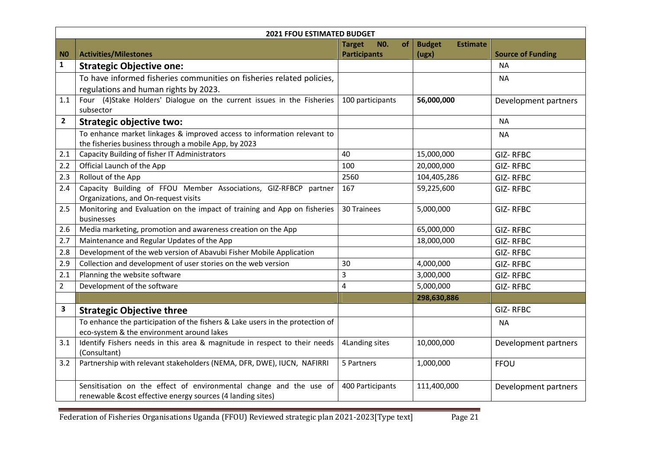|                | <b>2021 FFOU ESTIMATED BUDGET</b>                                                      |                                   |                                  |                          |  |  |  |  |  |
|----------------|----------------------------------------------------------------------------------------|-----------------------------------|----------------------------------|--------------------------|--|--|--|--|--|
|                |                                                                                        | <b>Target</b><br><b>NO.</b><br>оf | <b>Budget</b><br><b>Estimate</b> |                          |  |  |  |  |  |
| N <sub>0</sub> | <b>Activities/Milestones</b>                                                           | <b>Participants</b>               | (ugx)                            | <b>Source of Funding</b> |  |  |  |  |  |
| $\mathbf{1}$   | <b>Strategic Objective one:</b>                                                        |                                   |                                  | <b>NA</b>                |  |  |  |  |  |
|                | To have informed fisheries communities on fisheries related policies,                  |                                   |                                  | <b>NA</b>                |  |  |  |  |  |
|                | regulations and human rights by 2023.                                                  |                                   |                                  |                          |  |  |  |  |  |
| 1.1            | Four (4)Stake Holders' Dialogue on the current issues in the Fisheries                 | 100 participants                  | 56,000,000                       | Development partners     |  |  |  |  |  |
|                | subsector                                                                              |                                   |                                  |                          |  |  |  |  |  |
| $\overline{2}$ | <b>Strategic objective two:</b>                                                        |                                   |                                  | <b>NA</b>                |  |  |  |  |  |
|                | To enhance market linkages & improved access to information relevant to                |                                   |                                  | <b>NA</b>                |  |  |  |  |  |
|                | the fisheries business through a mobile App, by 2023                                   |                                   |                                  |                          |  |  |  |  |  |
| 2.1            | Capacity Building of fisher IT Administrators                                          | 40                                | 15,000,000                       | GIZ-RFBC                 |  |  |  |  |  |
| 2.2            | Official Launch of the App                                                             | 100                               | 20,000,000                       | <b>GIZ-RFBC</b>          |  |  |  |  |  |
| 2.3            | Rollout of the App                                                                     | 2560                              | 104,405,286                      | <b>GIZ-RFBC</b>          |  |  |  |  |  |
| 2.4            | Capacity Building of FFOU Member Associations, GIZ-RFBCP partner                       | 167                               | 59,225,600                       | <b>GIZ-RFBC</b>          |  |  |  |  |  |
|                | Organizations, and On-request visits                                                   |                                   |                                  |                          |  |  |  |  |  |
| 2.5            | Monitoring and Evaluation on the impact of training and App on fisheries<br>businesses | 30 Trainees                       | 5,000,000                        | <b>GIZ-RFBC</b>          |  |  |  |  |  |
| 2.6            | Media marketing, promotion and awareness creation on the App                           |                                   | 65,000,000                       | <b>GIZ-RFBC</b>          |  |  |  |  |  |
| 2.7            | Maintenance and Regular Updates of the App                                             |                                   | 18,000,000                       | <b>GIZ-RFBC</b>          |  |  |  |  |  |
| 2.8            | Development of the web version of Abavubi Fisher Mobile Application                    |                                   |                                  | GIZ-RFBC                 |  |  |  |  |  |
| 2.9            | Collection and development of user stories on the web version                          | 30                                | 4,000,000                        | GIZ-RFBC                 |  |  |  |  |  |
| 2.1            | Planning the website software                                                          | 3                                 | 3,000,000                        | GIZ-RFBC                 |  |  |  |  |  |
| $\overline{2}$ | Development of the software                                                            | $\overline{\mathbf{4}}$           | 5,000,000                        | <b>GIZ-RFBC</b>          |  |  |  |  |  |
|                |                                                                                        |                                   | 298,630,886                      |                          |  |  |  |  |  |
| 3              | <b>Strategic Objective three</b>                                                       |                                   |                                  | GIZ-RFBC                 |  |  |  |  |  |
|                | To enhance the participation of the fishers & Lake users in the protection of          |                                   |                                  | <b>NA</b>                |  |  |  |  |  |
|                | eco-system & the environment around lakes                                              |                                   |                                  |                          |  |  |  |  |  |
| 3.1            | Identify Fishers needs in this area & magnitude in respect to their needs              | 4Landing sites                    | 10,000,000                       | Development partners     |  |  |  |  |  |
|                | (Consultant)                                                                           |                                   |                                  |                          |  |  |  |  |  |
| 3.2            | Partnership with relevant stakeholders (NEMA, DFR, DWE), IUCN, NAFIRRI                 | 5 Partners                        | 1,000,000                        | FFOU                     |  |  |  |  |  |
|                |                                                                                        |                                   |                                  |                          |  |  |  |  |  |
|                | Sensitisation on the effect of environmental change and the use of                     | 400 Participants                  | 111,400,000                      | Development partners     |  |  |  |  |  |
|                | renewable &cost effective energy sources (4 landing sites)                             |                                   |                                  |                          |  |  |  |  |  |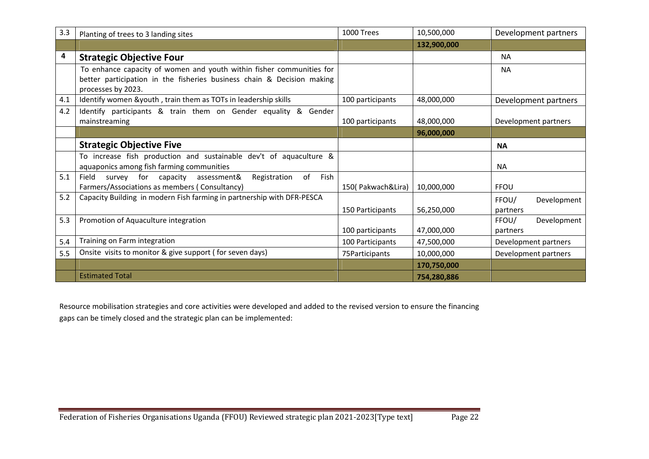| 3.3 | Planting of trees to 3 landing sites                                                         | 1000 Trees        | 10,500,000  | Development partners |
|-----|----------------------------------------------------------------------------------------------|-------------------|-------------|----------------------|
|     |                                                                                              |                   | 132,900,000 |                      |
| 4   | <b>Strategic Objective Four</b>                                                              |                   |             | <b>NA</b>            |
|     | To enhance capacity of women and youth within fisher communities for                         |                   |             | <b>NA</b>            |
|     | better participation in the fisheries business chain & Decision making<br>processes by 2023. |                   |             |                      |
| 4.1 | Identify women &youth, train them as TOTs in leadership skills                               | 100 participants  | 48,000,000  | Development partners |
| 4.2 | Identify participants & train them on Gender equality & Gender                               |                   |             |                      |
|     | mainstreaming                                                                                | 100 participants  | 48,000,000  | Development partners |
|     |                                                                                              |                   | 96,000,000  |                      |
|     | <b>Strategic Objective Five</b>                                                              |                   |             | <b>NA</b>            |
|     | To increase fish production and sustainable dev't of aquaculture &                           |                   |             |                      |
|     | aquaponics among fish farming communities                                                    |                   |             | <b>NA</b>            |
| 5.1 | of<br>Field<br>for<br>capacity<br>assessment&<br>Fish<br>survey<br>Registration              |                   |             |                      |
|     | Farmers/Associations as members (Consultancy)                                                | 150(Pakwach&Lira) | 10,000,000  | <b>FFOU</b>          |
| 5.2 | Capacity Building in modern Fish farming in partnership with DFR-PESCA                       |                   |             | Development<br>FFOU/ |
|     |                                                                                              | 150 Participants  | 56,250,000  | partners             |
| 5.3 | Promotion of Aquaculture integration                                                         |                   |             | FFOU/<br>Development |
|     |                                                                                              | 100 participants  | 47,000,000  | partners             |
| 5.4 | Training on Farm integration                                                                 | 100 Participants  | 47,500,000  | Development partners |
| 5.5 | Onsite visits to monitor & give support (for seven days)                                     | 75 Participants   | 10,000,000  | Development partners |
|     |                                                                                              |                   | 170,750,000 |                      |
|     | <b>Estimated Total</b>                                                                       |                   | 754,280,886 |                      |

Resource mobilisation strategies and core activities were developed and added to the revised version to ensure the financing gaps can be timely closed and the strategic plan can be implemented: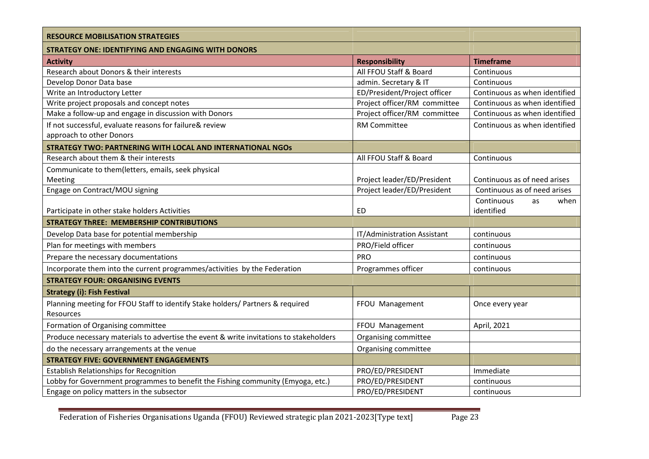| <b>RESOURCE MOBILISATION STRATEGIES</b>                                                |                              |                               |
|----------------------------------------------------------------------------------------|------------------------------|-------------------------------|
| <b>STRATEGY ONE: IDENTIFYING AND ENGAGING WITH DONORS</b>                              |                              |                               |
| <b>Activity</b>                                                                        | <b>Responsibility</b>        | <b>Timeframe</b>              |
| Research about Donors & their interests                                                | All FFOU Staff & Board       | Continuous                    |
| Develop Donor Data base                                                                | admin. Secretary & IT        | Continuous                    |
| Write an Introductory Letter                                                           | ED/President/Project officer | Continuous as when identified |
| Write project proposals and concept notes                                              | Project officer/RM committee | Continuous as when identified |
| Make a follow-up and engage in discussion with Donors                                  | Project officer/RM committee | Continuous as when identified |
| If not successful, evaluate reasons for failure& review                                | <b>RM Committee</b>          | Continuous as when identified |
| approach to other Donors                                                               |                              |                               |
| <b>STRATEGY TWO: PARTNERING WITH LOCAL AND INTERNATIONAL NGOS</b>                      |                              |                               |
| Research about them & their interests                                                  | All FFOU Staff & Board       | Continuous                    |
| Communicate to them(letters, emails, seek physical                                     |                              |                               |
| Meeting                                                                                | Project leader/ED/President  | Continuous as of need arises  |
| Engage on Contract/MOU signing                                                         | Project leader/ED/President  | Continuous as of need arises  |
|                                                                                        |                              | Continuous<br>when<br>as      |
| Participate in other stake holders Activities                                          | <b>ED</b>                    | identified                    |
| <b>STRATEGY THREE: MEMBERSHIP CONTRIBUTIONS</b>                                        |                              |                               |
| Develop Data base for potential membership                                             | IT/Administration Assistant  | continuous                    |
| Plan for meetings with members                                                         | PRO/Field officer            | continuous                    |
| Prepare the necessary documentations                                                   | PRO                          | continuous                    |
| Incorporate them into the current programmes/activities by the Federation              | Programmes officer           | continuous                    |
| <b>STRATEGY FOUR: ORGANISING EVENTS</b>                                                |                              |                               |
| <b>Strategy (i): Fish Festival</b>                                                     |                              |                               |
| Planning meeting for FFOU Staff to identify Stake holders/ Partners & required         | FFOU Management              | Once every year               |
| Resources                                                                              |                              |                               |
| Formation of Organising committee                                                      | FFOU Management              | April, 2021                   |
| Produce necessary materials to advertise the event & write invitations to stakeholders | Organising committee         |                               |
| do the necessary arrangements at the venue                                             | Organising committee         |                               |
| <b>STRATEGY FIVE: GOVERNMENT ENGAGEMENTS</b>                                           |                              |                               |
| <b>Establish Relationships for Recognition</b>                                         | PRO/ED/PRESIDENT             | Immediate                     |
| Lobby for Government programmes to benefit the Fishing community (Emyoga, etc.)        | PRO/ED/PRESIDENT             | continuous                    |
| Engage on policy matters in the subsector                                              | PRO/ED/PRESIDENT             | continuous                    |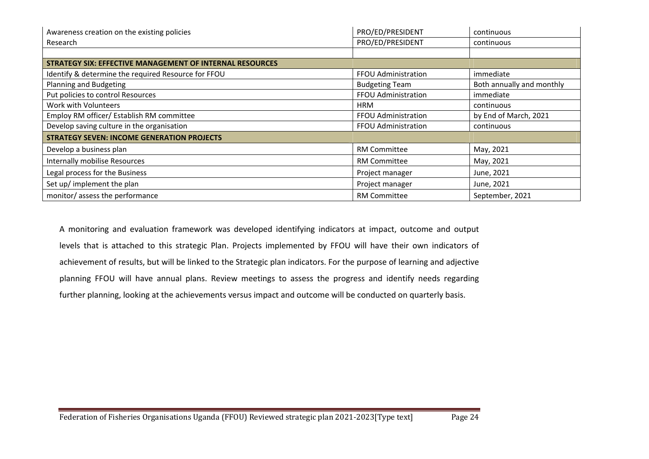| Awareness creation on the existing policies                     | PRO/ED/PRESIDENT      | continuous                |
|-----------------------------------------------------------------|-----------------------|---------------------------|
| Research                                                        | PRO/ED/PRESIDENT      | continuous                |
|                                                                 |                       |                           |
| <b>STRATEGY SIX: EFFECTIVE MANAGEMENT OF INTERNAL RESOURCES</b> |                       |                           |
| Identify & determine the required Resource for FFOU             | FFOU Administration   | immediate                 |
| Planning and Budgeting                                          | <b>Budgeting Team</b> | Both annually and monthly |
| Put policies to control Resources                               | FFOU Administration   | immediate                 |
| Work with Volunteers                                            | <b>HRM</b>            | continuous                |
| Employ RM officer/ Establish RM committee                       | FFOU Administration   | by End of March, 2021     |
| Develop saving culture in the organisation                      | FFOU Administration   | continuous                |
| <b>STRATEGY SEVEN: INCOME GENERATION PROJECTS</b>               |                       |                           |
| Develop a business plan                                         | <b>RM Committee</b>   | May, 2021                 |
| <b>Internally mobilise Resources</b>                            | RM Committee          | May, 2021                 |
| Legal process for the Business                                  | Project manager       | June, 2021                |
| Set up/ implement the plan                                      | Project manager       | June, 2021                |
| monitor/assess the performance                                  | <b>RM Committee</b>   | September, 2021           |

A monitoring and evaluation framework was developed identifying indicators at impact, outcome and output levels that is attached to this strategic Plan. Projects implemented by FFOU will have their own indicators of achievement of results, but will be linked to the Strategic plan indicators. For the purpose of learning and adjective planning FFOU will have annual plans. Review meetings to assess the progress and identify needs regarding further planning, looking at the achievements versus impact and outcome will be conducted on quarterly basis.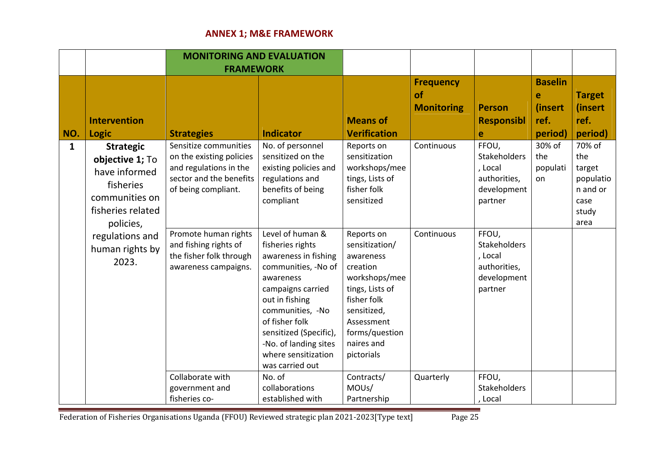# **ANNEX 1; M&E FRAMEWORK**

|              |                                                                                                                       | <b>MONITORING AND EVALUATION</b>                                                                                              |                                                                                                                                                                                                                                                                            |                                                                                                                                                                                     |                                             |                                                                            |                                                   |                                                                           |
|--------------|-----------------------------------------------------------------------------------------------------------------------|-------------------------------------------------------------------------------------------------------------------------------|----------------------------------------------------------------------------------------------------------------------------------------------------------------------------------------------------------------------------------------------------------------------------|-------------------------------------------------------------------------------------------------------------------------------------------------------------------------------------|---------------------------------------------|----------------------------------------------------------------------------|---------------------------------------------------|---------------------------------------------------------------------------|
|              |                                                                                                                       |                                                                                                                               | <b>FRAMEWORK</b>                                                                                                                                                                                                                                                           |                                                                                                                                                                                     |                                             |                                                                            |                                                   |                                                                           |
| NO.          | <b>Intervention</b><br><b>Logic</b>                                                                                   | <b>Strategies</b>                                                                                                             | <b>Indicator</b>                                                                                                                                                                                                                                                           | <b>Means of</b><br><b>Verification</b>                                                                                                                                              | <b>Frequency</b><br>of<br><b>Monitoring</b> | <b>Person</b><br><b>Responsibl</b><br>e                                    | <b>Baselin</b><br>e<br>(insert<br>ref.<br>period) | <b>Target</b><br>(insert<br>ref.<br>period)                               |
| $\mathbf{1}$ | <b>Strategic</b><br>objective 1; To<br>have informed<br>fisheries<br>communities on<br>fisheries related<br>policies, | Sensitize communities<br>on the existing policies<br>and regulations in the<br>sector and the benefits<br>of being compliant. | No. of personnel<br>sensitized on the<br>existing policies and<br>regulations and<br>benefits of being<br>compliant                                                                                                                                                        | Reports on<br>sensitization<br>workshops/mee<br>tings, Lists of<br>fisher folk<br>sensitized                                                                                        | Continuous                                  | FFOU,<br>Stakeholders<br>, Local<br>authorities,<br>development<br>partner | 30% of<br>the<br>populati<br>on                   | 70% of<br>the<br>target<br>populatio<br>n and or<br>case<br>study<br>area |
|              | regulations and<br>human rights by<br>2023.                                                                           | Promote human rights<br>and fishing rights of<br>the fisher folk through<br>awareness campaigns.                              | Level of human &<br>fisheries rights<br>awareness in fishing<br>communities, -No of<br>awareness<br>campaigns carried<br>out in fishing<br>communities, -No<br>of fisher folk<br>sensitized (Specific),<br>-No. of landing sites<br>where sensitization<br>was carried out | Reports on<br>sensitization/<br>awareness<br>creation<br>workshops/mee<br>tings, Lists of<br>fisher folk<br>sensitized,<br>Assessment<br>forms/question<br>naires and<br>pictorials | Continuous                                  | FFOU,<br>Stakeholders<br>, Local<br>authorities,<br>development<br>partner |                                                   |                                                                           |
|              |                                                                                                                       | Collaborate with<br>government and<br>fisheries co-                                                                           | No. of<br>collaborations<br>established with                                                                                                                                                                                                                               | Contracts/<br>MOUs/<br>Partnership                                                                                                                                                  | Quarterly                                   | FFOU,<br>Stakeholders<br>, Local                                           |                                                   |                                                                           |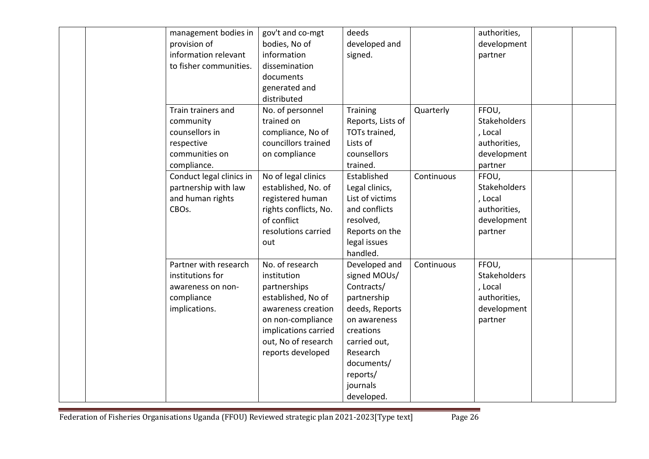| management bodies in<br>provision of<br>information relevant<br>to fisher communities.           | gov't and co-mgt<br>bodies, No of<br>information<br>dissemination<br>documents<br>generated and<br>distributed                                                                      | deeds<br>developed and<br>signed.                                                                                                                                                         |            | authorities,<br>development<br>partner                                            |  |
|--------------------------------------------------------------------------------------------------|-------------------------------------------------------------------------------------------------------------------------------------------------------------------------------------|-------------------------------------------------------------------------------------------------------------------------------------------------------------------------------------------|------------|-----------------------------------------------------------------------------------|--|
| Train trainers and<br>community<br>counsellors in<br>respective<br>communities on<br>compliance. | No. of personnel<br>trained on<br>compliance, No of<br>councillors trained<br>on compliance                                                                                         | <b>Training</b><br>Reports, Lists of<br>TOTs trained,<br>Lists of<br>counsellors<br>trained.                                                                                              | Quarterly  | FFOU,<br><b>Stakeholders</b><br>, Local<br>authorities,<br>development<br>partner |  |
| Conduct legal clinics in<br>partnership with law<br>and human rights<br>CBOs.                    | No of legal clinics<br>established, No. of<br>registered human<br>rights conflicts, No.<br>of conflict<br>resolutions carried<br>out                                                | Established<br>Legal clinics,<br>List of victims<br>and conflicts<br>resolved,<br>Reports on the<br>legal issues<br>handled.                                                              | Continuous | FFOU,<br><b>Stakeholders</b><br>, Local<br>authorities,<br>development<br>partner |  |
| Partner with research<br>institutions for<br>awareness on non-<br>compliance<br>implications.    | No. of research<br>institution<br>partnerships<br>established, No of<br>awareness creation<br>on non-compliance<br>implications carried<br>out, No of research<br>reports developed | Developed and<br>signed MOUs/<br>Contracts/<br>partnership<br>deeds, Reports<br>on awareness<br>creations<br>carried out,<br>Research<br>documents/<br>reports/<br>journals<br>developed. | Continuous | FFOU,<br><b>Stakeholders</b><br>, Local<br>authorities,<br>development<br>partner |  |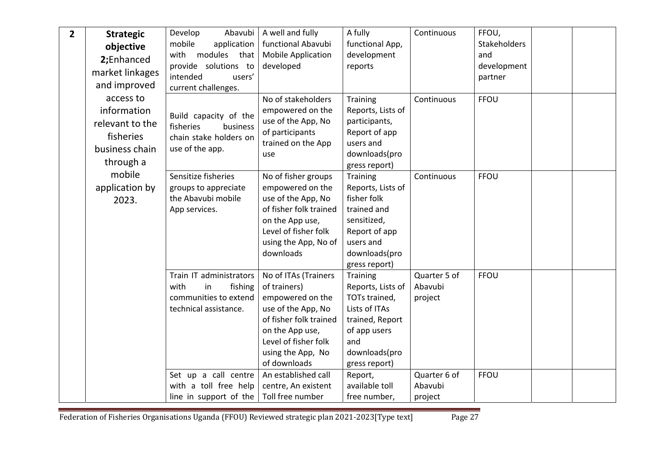| $\mathbf{2}$ | <b>Strategic</b><br>objective<br>2;Enhanced<br>market linkages<br>and improved<br>access to<br>information<br>relevant to the | Develop<br>Abavubi<br>mobile<br>application<br>with modules that<br>provide solutions to<br>intended<br>users'<br>current challenges.<br>Build capacity of the | A well and fully<br>functional Abavubi<br><b>Mobile Application</b><br>developed<br>No of stakeholders<br>empowered on the<br>use of the App, No                                         | A fully<br>functional App,<br>development<br>reports<br>Training<br>Reports, Lists of<br>participants,                                             | Continuous<br>Continuous           | FFOU,<br>Stakeholders<br>and<br>development<br>partner<br><b>FFOU</b> |  |
|--------------|-------------------------------------------------------------------------------------------------------------------------------|----------------------------------------------------------------------------------------------------------------------------------------------------------------|------------------------------------------------------------------------------------------------------------------------------------------------------------------------------------------|----------------------------------------------------------------------------------------------------------------------------------------------------|------------------------------------|-----------------------------------------------------------------------|--|
|              | fisheries<br>business chain<br>through a                                                                                      | fisheries<br>business<br>chain stake holders on<br>use of the app.                                                                                             | of participants<br>trained on the App<br>use                                                                                                                                             | Report of app<br>users and<br>downloads(pro<br>gress report)                                                                                       |                                    |                                                                       |  |
|              | mobile<br>application by<br>2023.                                                                                             | Sensitize fisheries<br>groups to appreciate<br>the Abavubi mobile<br>App services.                                                                             | No of fisher groups<br>empowered on the<br>use of the App, No<br>of fisher folk trained<br>on the App use,<br>Level of fisher folk<br>using the App, No of<br>downloads                  | <b>Training</b><br>Reports, Lists of<br>fisher folk<br>trained and<br>sensitized,<br>Report of app<br>users and<br>downloads(pro<br>gress report)  | Continuous                         | <b>FFOU</b>                                                           |  |
|              |                                                                                                                               | Train IT administrators<br>with<br>fishing<br>in<br>communities to extend<br>technical assistance.                                                             | No of ITAs (Trainers<br>of trainers)<br>empowered on the<br>use of the App, No<br>of fisher folk trained<br>on the App use,<br>Level of fisher folk<br>using the App, No<br>of downloads | <b>Training</b><br>Reports, Lists of<br>TOTs trained,<br>Lists of ITAs<br>trained, Report<br>of app users<br>and<br>downloads(pro<br>gress report) | Quarter 5 of<br>Abavubi<br>project | FFOU                                                                  |  |
|              |                                                                                                                               | Set up a call centre<br>with a toll free help<br>line in support of the                                                                                        | An established call<br>centre, An existent<br>Toll free number                                                                                                                           | Report,<br>available toll<br>free number,                                                                                                          | Quarter 6 of<br>Abavubi<br>project | FFOU                                                                  |  |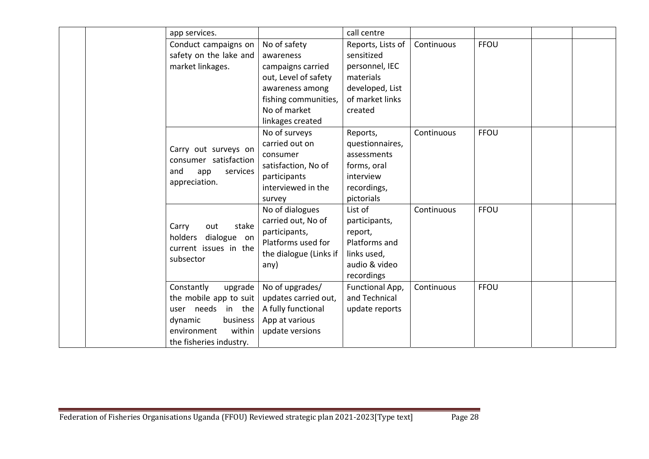|  | app services.              |                        | call centre       |            |             |  |
|--|----------------------------|------------------------|-------------------|------------|-------------|--|
|  | Conduct campaigns on       | No of safety           | Reports, Lists of | Continuous | <b>FFOU</b> |  |
|  | safety on the lake and     | awareness              | sensitized        |            |             |  |
|  | market linkages.           | campaigns carried      | personnel, IEC    |            |             |  |
|  |                            | out, Level of safety   | materials         |            |             |  |
|  |                            | awareness among        | developed, List   |            |             |  |
|  |                            | fishing communities,   | of market links   |            |             |  |
|  |                            | No of market           | created           |            |             |  |
|  |                            | linkages created       |                   |            |             |  |
|  |                            | No of surveys          | Reports,          | Continuous | <b>FFOU</b> |  |
|  | Carry out surveys on       | carried out on         | questionnaires,   |            |             |  |
|  | consumer satisfaction      | consumer               | assessments       |            |             |  |
|  | services<br>and<br>app     | satisfaction, No of    | forms, oral       |            |             |  |
|  | appreciation.              | participants           | interview         |            |             |  |
|  |                            | interviewed in the     | recordings,       |            |             |  |
|  |                            | survey                 | pictorials        |            |             |  |
|  |                            | No of dialogues        | List of           | Continuous | <b>FFOU</b> |  |
|  | out<br>stake<br>Carry      | carried out, No of     | participants,     |            |             |  |
|  | holders<br>dialogue on     | participants,          | report,           |            |             |  |
|  | current issues in the      | Platforms used for     | Platforms and     |            |             |  |
|  | subsector                  | the dialogue (Links if | links used,       |            |             |  |
|  |                            | any)                   | audio & video     |            |             |  |
|  |                            |                        | recordings        |            |             |  |
|  | Constantly<br>upgrade      | No of upgrades/        | Functional App,   | Continuous | <b>FFOU</b> |  |
|  | the mobile app to suit $ $ | updates carried out,   | and Technical     |            |             |  |
|  | user needs in the          | A fully functional     | update reports    |            |             |  |
|  | business<br>dynamic        | App at various         |                   |            |             |  |
|  | within<br>environment      | update versions        |                   |            |             |  |
|  | the fisheries industry.    |                        |                   |            |             |  |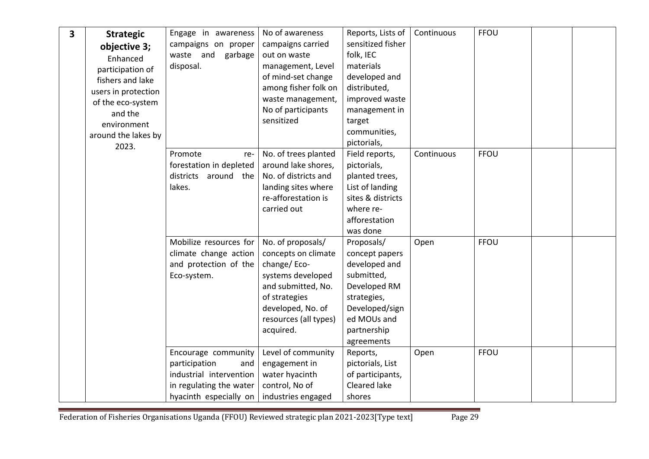| 3 | <b>Strategic</b><br>objective 3;<br>Enhanced<br>participation of<br>fishers and lake               | Engage in awareness<br>campaigns on proper<br>garbage<br>waste and<br>disposal.                                             | No of awareness<br>campaigns carried<br>out on waste<br>management, Level<br>of mind-set change                                                                                | Reports, Lists of<br>sensitized fisher<br>folk, IEC<br>materials<br>developed and                                                                        | Continuous | FFOU        |  |
|---|----------------------------------------------------------------------------------------------------|-----------------------------------------------------------------------------------------------------------------------------|--------------------------------------------------------------------------------------------------------------------------------------------------------------------------------|----------------------------------------------------------------------------------------------------------------------------------------------------------|------------|-------------|--|
|   | users in protection<br>of the eco-system<br>and the<br>environment<br>around the lakes by<br>2023. |                                                                                                                             | among fisher folk on<br>waste management,<br>No of participants<br>sensitized                                                                                                  | distributed,<br>improved waste<br>management in<br>target<br>communities,<br>pictorials,                                                                 |            |             |  |
|   |                                                                                                    | Promote<br>re-<br>forestation in depleted<br>districts around the<br>lakes.                                                 | No. of trees planted<br>around lake shores,<br>No. of districts and<br>landing sites where<br>re-afforestation is<br>carried out                                               | Field reports,<br>pictorials,<br>planted trees,<br>List of landing<br>sites & districts<br>where re-<br>afforestation<br>was done                        | Continuous | FFOU        |  |
|   |                                                                                                    | Mobilize resources for<br>climate change action<br>and protection of the<br>Eco-system.                                     | No. of proposals/<br>concepts on climate<br>change/Eco-<br>systems developed<br>and submitted, No.<br>of strategies<br>developed, No. of<br>resources (all types)<br>acquired. | Proposals/<br>concept papers<br>developed and<br>submitted,<br>Developed RM<br>strategies,<br>Developed/sign<br>ed MOUs and<br>partnership<br>agreements | Open       | FFOU        |  |
|   |                                                                                                    | Encourage community<br>participation<br>and<br>industrial intervention<br>in regulating the water<br>hyacinth especially on | Level of community<br>engagement in<br>water hyacinth<br>control, No of<br>industries engaged                                                                                  | Reports,<br>pictorials, List<br>of participants,<br>Cleared lake<br>shores                                                                               | Open       | <b>FFOU</b> |  |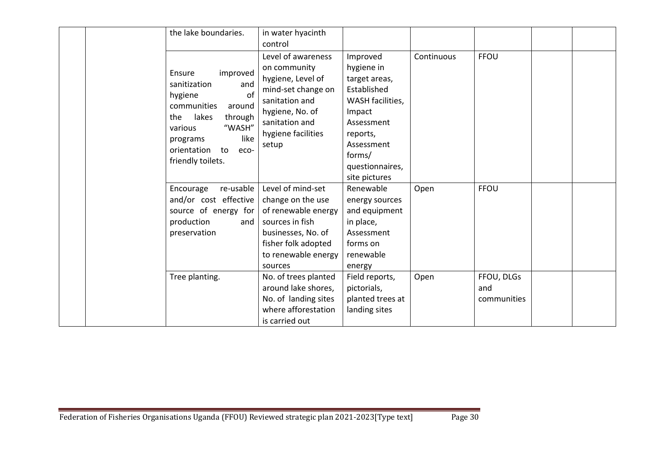| the lake boundaries.                                                                                                                                                                                        | in water hyacinth<br>control                                                                                                                                        |                                                                                                                                                                            |            |                                  |  |
|-------------------------------------------------------------------------------------------------------------------------------------------------------------------------------------------------------------|---------------------------------------------------------------------------------------------------------------------------------------------------------------------|----------------------------------------------------------------------------------------------------------------------------------------------------------------------------|------------|----------------------------------|--|
| Ensure<br>improved<br>sanitization<br>and<br>hygiene<br>. of<br>communities<br>around<br>lakes<br>through<br>the<br>"WASH"<br>various<br>like<br>programs<br>orientation<br>to<br>eco-<br>friendly toilets. | Level of awareness<br>on community<br>hygiene, Level of<br>mind-set change on<br>sanitation and<br>hygiene, No. of<br>sanitation and<br>hygiene facilities<br>setup | Improved<br>hygiene in<br>target areas,<br>Established<br>WASH facilities,<br>Impact<br>Assessment<br>reports,<br>Assessment<br>forms/<br>questionnaires,<br>site pictures | Continuous | <b>FFOU</b>                      |  |
| re-usable<br>Encourage<br>and/or cost effective<br>source of energy for<br>production<br>and<br>preservation                                                                                                | Level of mind-set<br>change on the use<br>of renewable energy<br>sources in fish<br>businesses, No. of<br>fisher folk adopted<br>to renewable energy<br>sources     | Renewable<br>energy sources<br>and equipment<br>in place,<br>Assessment<br>forms on<br>renewable<br>energy                                                                 | Open       | <b>FFOU</b>                      |  |
| Tree planting.                                                                                                                                                                                              | No. of trees planted<br>around lake shores,<br>No. of landing sites<br>where afforestation<br>is carried out                                                        | Field reports,<br>pictorials,<br>planted trees at<br>landing sites                                                                                                         | Open       | FFOU, DLGs<br>and<br>communities |  |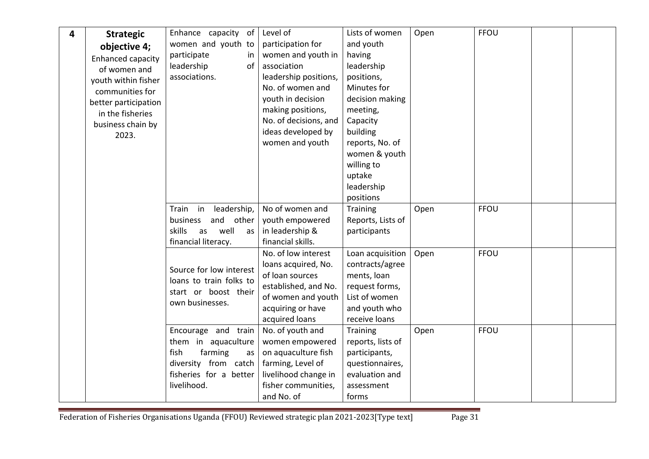| 4 | <b>Strategic</b><br>objective 4;<br>Enhanced capacity<br>of women and<br>youth within fisher<br>communities for<br>better participation<br>in the fisheries | Enhance capacity of<br>women and youth to<br>participate<br>in.<br>leadership<br>of<br>associations.                                 | Level of<br>participation for<br>women and youth in<br>association<br>leadership positions,<br>No. of women and<br>youth in decision<br>making positions, | Lists of women<br>and youth<br>having<br>leadership<br>positions,<br>Minutes for<br>decision making<br>meeting,         | Open | FFOU |  |
|---|-------------------------------------------------------------------------------------------------------------------------------------------------------------|--------------------------------------------------------------------------------------------------------------------------------------|-----------------------------------------------------------------------------------------------------------------------------------------------------------|-------------------------------------------------------------------------------------------------------------------------|------|------|--|
|   | business chain by<br>2023.                                                                                                                                  |                                                                                                                                      | No. of decisions, and<br>ideas developed by<br>women and youth                                                                                            | Capacity<br>building<br>reports, No. of<br>women & youth<br>willing to<br>uptake<br>leadership<br>positions             |      |      |  |
|   |                                                                                                                                                             | Train in<br>leadership,<br>and<br>other<br>business<br>skills<br>well<br>as<br>as<br>financial literacy.                             | No of women and<br>youth empowered<br>in leadership &<br>financial skills.                                                                                | Training<br>Reports, Lists of<br>participants                                                                           | Open | FFOU |  |
|   |                                                                                                                                                             | Source for low interest<br>loans to train folks to<br>start or boost their<br>own businesses.                                        | No. of low interest<br>loans acquired, No.<br>of loan sources<br>established, and No.<br>of women and youth<br>acquiring or have<br>acquired loans        | Loan acquisition<br>contracts/agree<br>ments, loan<br>request forms,<br>List of women<br>and youth who<br>receive loans | Open | FFOU |  |
|   |                                                                                                                                                             | Encourage and train<br>them in aquaculture<br>fish<br>farming<br>as<br>diversity from catch<br>fisheries for a better<br>livelihood. | No. of youth and<br>women empowered<br>on aquaculture fish<br>farming, Level of<br>livelihood change in<br>fisher communities,<br>and No. of              | Training<br>reports, lists of<br>participants,<br>questionnaires,<br>evaluation and<br>assessment<br>forms              | Open | FFOU |  |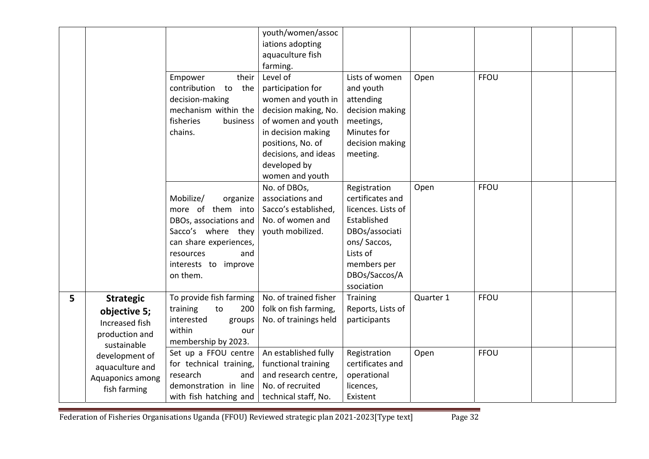|   |                  |                            | youth/women/assoc     |                    |           |             |  |
|---|------------------|----------------------------|-----------------------|--------------------|-----------|-------------|--|
|   |                  |                            | iations adopting      |                    |           |             |  |
|   |                  |                            | aquaculture fish      |                    |           |             |  |
|   |                  |                            | farming.              |                    |           |             |  |
|   |                  | their<br>Empower           | Level of              | Lists of women     | Open      | <b>FFOU</b> |  |
|   |                  | contribution to<br>the     | participation for     | and youth          |           |             |  |
|   |                  | decision-making            | women and youth in    | attending          |           |             |  |
|   |                  | mechanism within the       | decision making, No.  | decision making    |           |             |  |
|   |                  | fisheries<br>business      | of women and youth    | meetings,          |           |             |  |
|   |                  | chains.                    | in decision making    | Minutes for        |           |             |  |
|   |                  |                            | positions, No. of     | decision making    |           |             |  |
|   |                  |                            | decisions, and ideas  | meeting.           |           |             |  |
|   |                  |                            | developed by          |                    |           |             |  |
|   |                  |                            | women and youth       |                    |           |             |  |
|   |                  |                            | No. of DBOs,          | Registration       | Open      | <b>FFOU</b> |  |
|   |                  | Mobilize/<br>organize      | associations and      | certificates and   |           |             |  |
|   |                  | more of them into          | Sacco's established,  | licences. Lists of |           |             |  |
|   |                  | DBOs, associations and     | No. of women and      | Established        |           |             |  |
|   |                  | Sacco's where they         | youth mobilized.      | DBOs/associati     |           |             |  |
|   |                  | can share experiences,     |                       | ons/Saccos,        |           |             |  |
|   |                  | resources<br>and           |                       | Lists of           |           |             |  |
|   |                  | interests to improve       |                       | members per        |           |             |  |
|   |                  | on them.                   |                       | DBOs/Saccos/A      |           |             |  |
|   |                  |                            |                       | ssociation         |           |             |  |
| 5 | <b>Strategic</b> | To provide fish farming    | No. of trained fisher | Training           | Quarter 1 | FFOU        |  |
|   | objective 5;     | training<br>to<br>200      | folk on fish farming, | Reports, Lists of  |           |             |  |
|   | Increased fish   | interested<br>groups       | No. of trainings held | participants       |           |             |  |
|   | production and   | within<br>our              |                       |                    |           |             |  |
|   | sustainable      | membership by 2023.        |                       |                    |           |             |  |
|   | development of   | Set up a FFOU centre       | An established fully  | Registration       | Open      | FFOU        |  |
|   | aquaculture and  | for technical training,    | functional training   | certificates and   |           |             |  |
|   | Aquaponics among | research<br>and            | and research centre,  | operational        |           |             |  |
|   | fish farming     | demonstration in line      | No. of recruited      | licences,          |           |             |  |
|   |                  | with fish hatching and $ $ | technical staff, No.  | Existent           |           |             |  |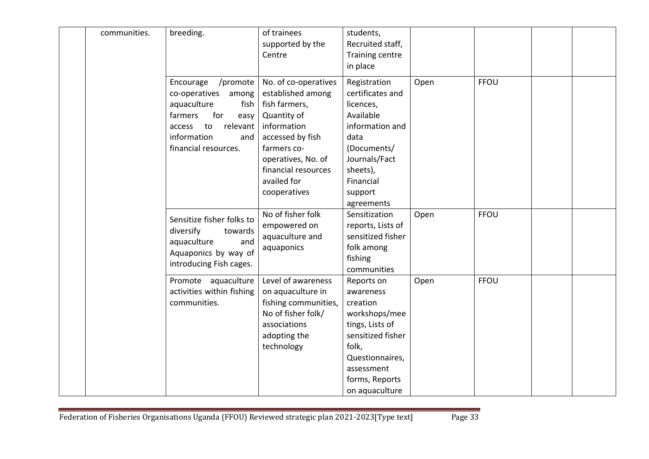| communities. | breeding.                                                                                                                                                                   | of trainees<br>supported by the<br>Centre                                                                                                                                                               | students,<br>Recruited staff,<br>Training centre<br>in place                                                                                                               |      |             |  |
|--------------|-----------------------------------------------------------------------------------------------------------------------------------------------------------------------------|---------------------------------------------------------------------------------------------------------------------------------------------------------------------------------------------------------|----------------------------------------------------------------------------------------------------------------------------------------------------------------------------|------|-------------|--|
|              | Encourage<br>/promote  <br>co-operatives among<br>aquaculture<br>fish  <br>for<br>farmers<br>easy<br>relevant<br>to<br>access<br>information<br>and<br>financial resources. | No. of co-operatives<br>established among<br>fish farmers,<br>Quantity of<br>information<br>accessed by fish<br>farmers co-<br>operatives, No. of<br>financial resources<br>availed for<br>cooperatives | Registration<br>certificates and<br>licences,<br>Available<br>information and<br>data<br>(Documents/<br>Journals/Fact<br>sheets),<br>Financial<br>support<br>agreements    | Open | <b>FFOU</b> |  |
|              | Sensitize fisher folks to<br>diversify<br>towards<br>aquaculture<br>and<br>Aquaponics by way of<br>introducing Fish cages.                                                  | No of fisher folk<br>empowered on<br>aquaculture and<br>aquaponics                                                                                                                                      | Sensitization<br>reports, Lists of<br>sensitized fisher<br>folk among<br>fishing<br>communities                                                                            | Open | <b>FFOU</b> |  |
|              | Promote aquaculture<br>activities within fishing<br>communities.                                                                                                            | Level of awareness<br>on aquaculture in<br>fishing communities,<br>No of fisher folk/<br>associations<br>adopting the<br>technology                                                                     | Reports on<br>awareness<br>creation<br>workshops/mee<br>tings, Lists of<br>sensitized fisher<br>folk,<br>Questionnaires,<br>assessment<br>forms, Reports<br>on aquaculture | Open | <b>FFOU</b> |  |